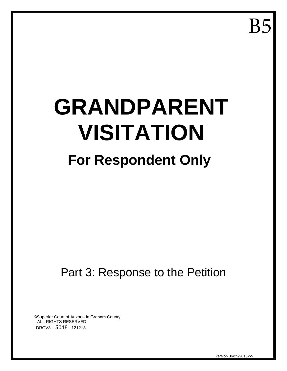B<sub>5</sub>

# **GRANDPARENT VISITATION For Respondent Only**

# Part 3: Response to the Petition

©Superior Court of Arizona in Graham County ALL RIGHTS RESERVED DRGV3 – 5048 - 121213

version 06/25/2015-b5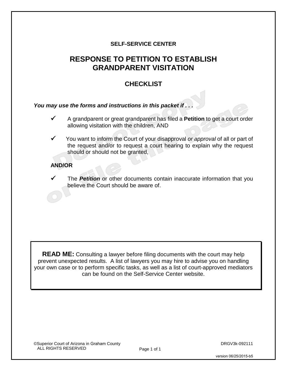#### **SELF-SERVICE CENTER**

# **RESPONSE TO PETITION TO ESTABLISH GRANDPARENT VISITATION**

#### **CHECKLIST**

#### *You may use the forms and instructions in this packet if . . .*

- A grandparent or great grandparent has filed a **Petition** to get a court order allowing visitation with the children, AND
- You want to inform the Court of your disapproval *or approval* of all or part of the request and/or to request a court hearing to explain why the request should or should not be granted,

#### **AND/OR**

The **Petition** or other documents contain inaccurate information that you believe the Court should be aware of.

**READ ME:** Consulting a lawyer before filing documents with the court may help prevent unexpected results. A list of lawyers you may hire to advise you on handling your own case or to perform specific tasks, as well as a list of court-approved mediators can be found on the Self-Service Center website.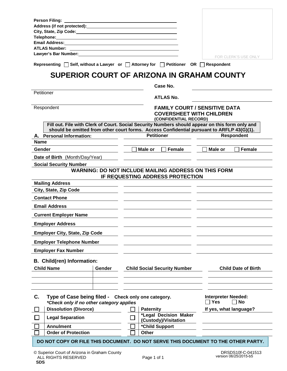| <b>Person Filing:</b><br>Address (if not protected): Manual Address (if not protected):<br>City, State, Zip Code: National Assembly City, State, Zip Code:<br><b>Telephone:</b> Telephone: Telephone: Telephone: Telephone: Telephone: Telephone: Telephone: Telephone: Telephone: Telephone: Telephone: Telephone: Telephone: Telephone: Telephone: Telephone: Telephone: Telephone: Telephone:<br><b>Email Address:</b><br><b>ATLAS Number:</b><br>Lawyer's Bar Number: New York 1999 and the United States of the United States and States II and the United Sta<br>FOR CLERK'S USE ONLY<br>Representing $\Box$ Self, without a Lawyer or $\Box$ Attorney for $\Box$ Petitioner OR $\Box$ Respondent<br>SUPERIOR COURT OF ARIZONA IN GRAHAM COUNTY<br>Case No.<br>Petitioner<br><b>ATLAS No.</b><br><b>FAMILY COURT / SENSITIVE DATA</b><br>Respondent<br><b>COVERSHEET WITH CHILDREN</b><br>(CONFIDENTIAL RECORD)<br>Fill out. File with Clerk of Court. Social Security Numbers should appear on this form only and<br>should be omitted from other court forms. Access Confidential pursuant to ARFLP 43(G)(1).<br><b>Petitioner</b><br><b>Respondent</b><br>A. Personal Information:<br>Name<br>Male or<br>Female<br>Female<br>Gender<br>Male or<br>Date of Birth (Month/Day/Year)<br><b>Social Security Number</b><br><b>WARNING: DO NOT INCLUDE MAILING ADDRESS ON THIS FORM</b><br>IF REQUESTING ADDRESS PROTECTION<br><b>Mailing Address</b><br>City, State, Zip Code<br><b>Contact Phone</b><br><b>Email Address</b><br><b>Current Employer Name</b><br><b>Employer Address</b><br><b>Employer City, State, Zip Code</b><br><b>Employer Telephone Number</b><br><b>Employer Fax Number</b><br>B. Child(ren) Information:<br><b>Child Name</b><br><b>Child Social Security Number</b><br><b>Child Date of Birth</b><br>Gender<br>C.<br><b>Interpreter Needed:</b><br>Type of Case being filed - Check only one category.<br><b>No</b><br><b>Yes</b><br>*Check only if no other category applies<br>$\mathbf{I}$<br><b>Dissolution (Divorce)</b><br>If yes, what language?<br><b>Paternity</b><br>*Legal Decision Maker<br><b>Legal Separation</b><br>(Custody)/Visitation<br>*Child Support<br><b>Annulment</b><br><b>Order of Protection</b><br><b>Other</b><br>DO NOT COPY OR FILE THIS DOCUMENT. DO NOT SERVE THIS DOCUMENT TO THE OTHER PARTY. |  |  |
|---------------------------------------------------------------------------------------------------------------------------------------------------------------------------------------------------------------------------------------------------------------------------------------------------------------------------------------------------------------------------------------------------------------------------------------------------------------------------------------------------------------------------------------------------------------------------------------------------------------------------------------------------------------------------------------------------------------------------------------------------------------------------------------------------------------------------------------------------------------------------------------------------------------------------------------------------------------------------------------------------------------------------------------------------------------------------------------------------------------------------------------------------------------------------------------------------------------------------------------------------------------------------------------------------------------------------------------------------------------------------------------------------------------------------------------------------------------------------------------------------------------------------------------------------------------------------------------------------------------------------------------------------------------------------------------------------------------------------------------------------------------------------------------------------------------------------------------------------------------------------------------------------------------------------------------------------------------------------------------------------------------------------------------------------------------------------------------------------------------------------------------------------------------------------------------------------------------------------------------------------------------------------------------------------------------------------------------------------------------|--|--|
|                                                                                                                                                                                                                                                                                                                                                                                                                                                                                                                                                                                                                                                                                                                                                                                                                                                                                                                                                                                                                                                                                                                                                                                                                                                                                                                                                                                                                                                                                                                                                                                                                                                                                                                                                                                                                                                                                                                                                                                                                                                                                                                                                                                                                                                                                                                                                               |  |  |
|                                                                                                                                                                                                                                                                                                                                                                                                                                                                                                                                                                                                                                                                                                                                                                                                                                                                                                                                                                                                                                                                                                                                                                                                                                                                                                                                                                                                                                                                                                                                                                                                                                                                                                                                                                                                                                                                                                                                                                                                                                                                                                                                                                                                                                                                                                                                                               |  |  |
|                                                                                                                                                                                                                                                                                                                                                                                                                                                                                                                                                                                                                                                                                                                                                                                                                                                                                                                                                                                                                                                                                                                                                                                                                                                                                                                                                                                                                                                                                                                                                                                                                                                                                                                                                                                                                                                                                                                                                                                                                                                                                                                                                                                                                                                                                                                                                               |  |  |
|                                                                                                                                                                                                                                                                                                                                                                                                                                                                                                                                                                                                                                                                                                                                                                                                                                                                                                                                                                                                                                                                                                                                                                                                                                                                                                                                                                                                                                                                                                                                                                                                                                                                                                                                                                                                                                                                                                                                                                                                                                                                                                                                                                                                                                                                                                                                                               |  |  |
|                                                                                                                                                                                                                                                                                                                                                                                                                                                                                                                                                                                                                                                                                                                                                                                                                                                                                                                                                                                                                                                                                                                                                                                                                                                                                                                                                                                                                                                                                                                                                                                                                                                                                                                                                                                                                                                                                                                                                                                                                                                                                                                                                                                                                                                                                                                                                               |  |  |
|                                                                                                                                                                                                                                                                                                                                                                                                                                                                                                                                                                                                                                                                                                                                                                                                                                                                                                                                                                                                                                                                                                                                                                                                                                                                                                                                                                                                                                                                                                                                                                                                                                                                                                                                                                                                                                                                                                                                                                                                                                                                                                                                                                                                                                                                                                                                                               |  |  |
|                                                                                                                                                                                                                                                                                                                                                                                                                                                                                                                                                                                                                                                                                                                                                                                                                                                                                                                                                                                                                                                                                                                                                                                                                                                                                                                                                                                                                                                                                                                                                                                                                                                                                                                                                                                                                                                                                                                                                                                                                                                                                                                                                                                                                                                                                                                                                               |  |  |
|                                                                                                                                                                                                                                                                                                                                                                                                                                                                                                                                                                                                                                                                                                                                                                                                                                                                                                                                                                                                                                                                                                                                                                                                                                                                                                                                                                                                                                                                                                                                                                                                                                                                                                                                                                                                                                                                                                                                                                                                                                                                                                                                                                                                                                                                                                                                                               |  |  |
|                                                                                                                                                                                                                                                                                                                                                                                                                                                                                                                                                                                                                                                                                                                                                                                                                                                                                                                                                                                                                                                                                                                                                                                                                                                                                                                                                                                                                                                                                                                                                                                                                                                                                                                                                                                                                                                                                                                                                                                                                                                                                                                                                                                                                                                                                                                                                               |  |  |
|                                                                                                                                                                                                                                                                                                                                                                                                                                                                                                                                                                                                                                                                                                                                                                                                                                                                                                                                                                                                                                                                                                                                                                                                                                                                                                                                                                                                                                                                                                                                                                                                                                                                                                                                                                                                                                                                                                                                                                                                                                                                                                                                                                                                                                                                                                                                                               |  |  |
|                                                                                                                                                                                                                                                                                                                                                                                                                                                                                                                                                                                                                                                                                                                                                                                                                                                                                                                                                                                                                                                                                                                                                                                                                                                                                                                                                                                                                                                                                                                                                                                                                                                                                                                                                                                                                                                                                                                                                                                                                                                                                                                                                                                                                                                                                                                                                               |  |  |
|                                                                                                                                                                                                                                                                                                                                                                                                                                                                                                                                                                                                                                                                                                                                                                                                                                                                                                                                                                                                                                                                                                                                                                                                                                                                                                                                                                                                                                                                                                                                                                                                                                                                                                                                                                                                                                                                                                                                                                                                                                                                                                                                                                                                                                                                                                                                                               |  |  |
|                                                                                                                                                                                                                                                                                                                                                                                                                                                                                                                                                                                                                                                                                                                                                                                                                                                                                                                                                                                                                                                                                                                                                                                                                                                                                                                                                                                                                                                                                                                                                                                                                                                                                                                                                                                                                                                                                                                                                                                                                                                                                                                                                                                                                                                                                                                                                               |  |  |
|                                                                                                                                                                                                                                                                                                                                                                                                                                                                                                                                                                                                                                                                                                                                                                                                                                                                                                                                                                                                                                                                                                                                                                                                                                                                                                                                                                                                                                                                                                                                                                                                                                                                                                                                                                                                                                                                                                                                                                                                                                                                                                                                                                                                                                                                                                                                                               |  |  |
|                                                                                                                                                                                                                                                                                                                                                                                                                                                                                                                                                                                                                                                                                                                                                                                                                                                                                                                                                                                                                                                                                                                                                                                                                                                                                                                                                                                                                                                                                                                                                                                                                                                                                                                                                                                                                                                                                                                                                                                                                                                                                                                                                                                                                                                                                                                                                               |  |  |
|                                                                                                                                                                                                                                                                                                                                                                                                                                                                                                                                                                                                                                                                                                                                                                                                                                                                                                                                                                                                                                                                                                                                                                                                                                                                                                                                                                                                                                                                                                                                                                                                                                                                                                                                                                                                                                                                                                                                                                                                                                                                                                                                                                                                                                                                                                                                                               |  |  |
|                                                                                                                                                                                                                                                                                                                                                                                                                                                                                                                                                                                                                                                                                                                                                                                                                                                                                                                                                                                                                                                                                                                                                                                                                                                                                                                                                                                                                                                                                                                                                                                                                                                                                                                                                                                                                                                                                                                                                                                                                                                                                                                                                                                                                                                                                                                                                               |  |  |
|                                                                                                                                                                                                                                                                                                                                                                                                                                                                                                                                                                                                                                                                                                                                                                                                                                                                                                                                                                                                                                                                                                                                                                                                                                                                                                                                                                                                                                                                                                                                                                                                                                                                                                                                                                                                                                                                                                                                                                                                                                                                                                                                                                                                                                                                                                                                                               |  |  |
|                                                                                                                                                                                                                                                                                                                                                                                                                                                                                                                                                                                                                                                                                                                                                                                                                                                                                                                                                                                                                                                                                                                                                                                                                                                                                                                                                                                                                                                                                                                                                                                                                                                                                                                                                                                                                                                                                                                                                                                                                                                                                                                                                                                                                                                                                                                                                               |  |  |
|                                                                                                                                                                                                                                                                                                                                                                                                                                                                                                                                                                                                                                                                                                                                                                                                                                                                                                                                                                                                                                                                                                                                                                                                                                                                                                                                                                                                                                                                                                                                                                                                                                                                                                                                                                                                                                                                                                                                                                                                                                                                                                                                                                                                                                                                                                                                                               |  |  |
|                                                                                                                                                                                                                                                                                                                                                                                                                                                                                                                                                                                                                                                                                                                                                                                                                                                                                                                                                                                                                                                                                                                                                                                                                                                                                                                                                                                                                                                                                                                                                                                                                                                                                                                                                                                                                                                                                                                                                                                                                                                                                                                                                                                                                                                                                                                                                               |  |  |
|                                                                                                                                                                                                                                                                                                                                                                                                                                                                                                                                                                                                                                                                                                                                                                                                                                                                                                                                                                                                                                                                                                                                                                                                                                                                                                                                                                                                                                                                                                                                                                                                                                                                                                                                                                                                                                                                                                                                                                                                                                                                                                                                                                                                                                                                                                                                                               |  |  |
|                                                                                                                                                                                                                                                                                                                                                                                                                                                                                                                                                                                                                                                                                                                                                                                                                                                                                                                                                                                                                                                                                                                                                                                                                                                                                                                                                                                                                                                                                                                                                                                                                                                                                                                                                                                                                                                                                                                                                                                                                                                                                                                                                                                                                                                                                                                                                               |  |  |
|                                                                                                                                                                                                                                                                                                                                                                                                                                                                                                                                                                                                                                                                                                                                                                                                                                                                                                                                                                                                                                                                                                                                                                                                                                                                                                                                                                                                                                                                                                                                                                                                                                                                                                                                                                                                                                                                                                                                                                                                                                                                                                                                                                                                                                                                                                                                                               |  |  |
|                                                                                                                                                                                                                                                                                                                                                                                                                                                                                                                                                                                                                                                                                                                                                                                                                                                                                                                                                                                                                                                                                                                                                                                                                                                                                                                                                                                                                                                                                                                                                                                                                                                                                                                                                                                                                                                                                                                                                                                                                                                                                                                                                                                                                                                                                                                                                               |  |  |
|                                                                                                                                                                                                                                                                                                                                                                                                                                                                                                                                                                                                                                                                                                                                                                                                                                                                                                                                                                                                                                                                                                                                                                                                                                                                                                                                                                                                                                                                                                                                                                                                                                                                                                                                                                                                                                                                                                                                                                                                                                                                                                                                                                                                                                                                                                                                                               |  |  |
|                                                                                                                                                                                                                                                                                                                                                                                                                                                                                                                                                                                                                                                                                                                                                                                                                                                                                                                                                                                                                                                                                                                                                                                                                                                                                                                                                                                                                                                                                                                                                                                                                                                                                                                                                                                                                                                                                                                                                                                                                                                                                                                                                                                                                                                                                                                                                               |  |  |
|                                                                                                                                                                                                                                                                                                                                                                                                                                                                                                                                                                                                                                                                                                                                                                                                                                                                                                                                                                                                                                                                                                                                                                                                                                                                                                                                                                                                                                                                                                                                                                                                                                                                                                                                                                                                                                                                                                                                                                                                                                                                                                                                                                                                                                                                                                                                                               |  |  |
|                                                                                                                                                                                                                                                                                                                                                                                                                                                                                                                                                                                                                                                                                                                                                                                                                                                                                                                                                                                                                                                                                                                                                                                                                                                                                                                                                                                                                                                                                                                                                                                                                                                                                                                                                                                                                                                                                                                                                                                                                                                                                                                                                                                                                                                                                                                                                               |  |  |
|                                                                                                                                                                                                                                                                                                                                                                                                                                                                                                                                                                                                                                                                                                                                                                                                                                                                                                                                                                                                                                                                                                                                                                                                                                                                                                                                                                                                                                                                                                                                                                                                                                                                                                                                                                                                                                                                                                                                                                                                                                                                                                                                                                                                                                                                                                                                                               |  |  |
|                                                                                                                                                                                                                                                                                                                                                                                                                                                                                                                                                                                                                                                                                                                                                                                                                                                                                                                                                                                                                                                                                                                                                                                                                                                                                                                                                                                                                                                                                                                                                                                                                                                                                                                                                                                                                                                                                                                                                                                                                                                                                                                                                                                                                                                                                                                                                               |  |  |
|                                                                                                                                                                                                                                                                                                                                                                                                                                                                                                                                                                                                                                                                                                                                                                                                                                                                                                                                                                                                                                                                                                                                                                                                                                                                                                                                                                                                                                                                                                                                                                                                                                                                                                                                                                                                                                                                                                                                                                                                                                                                                                                                                                                                                                                                                                                                                               |  |  |
|                                                                                                                                                                                                                                                                                                                                                                                                                                                                                                                                                                                                                                                                                                                                                                                                                                                                                                                                                                                                                                                                                                                                                                                                                                                                                                                                                                                                                                                                                                                                                                                                                                                                                                                                                                                                                                                                                                                                                                                                                                                                                                                                                                                                                                                                                                                                                               |  |  |
|                                                                                                                                                                                                                                                                                                                                                                                                                                                                                                                                                                                                                                                                                                                                                                                                                                                                                                                                                                                                                                                                                                                                                                                                                                                                                                                                                                                                                                                                                                                                                                                                                                                                                                                                                                                                                                                                                                                                                                                                                                                                                                                                                                                                                                                                                                                                                               |  |  |
|                                                                                                                                                                                                                                                                                                                                                                                                                                                                                                                                                                                                                                                                                                                                                                                                                                                                                                                                                                                                                                                                                                                                                                                                                                                                                                                                                                                                                                                                                                                                                                                                                                                                                                                                                                                                                                                                                                                                                                                                                                                                                                                                                                                                                                                                                                                                                               |  |  |
|                                                                                                                                                                                                                                                                                                                                                                                                                                                                                                                                                                                                                                                                                                                                                                                                                                                                                                                                                                                                                                                                                                                                                                                                                                                                                                                                                                                                                                                                                                                                                                                                                                                                                                                                                                                                                                                                                                                                                                                                                                                                                                                                                                                                                                                                                                                                                               |  |  |
|                                                                                                                                                                                                                                                                                                                                                                                                                                                                                                                                                                                                                                                                                                                                                                                                                                                                                                                                                                                                                                                                                                                                                                                                                                                                                                                                                                                                                                                                                                                                                                                                                                                                                                                                                                                                                                                                                                                                                                                                                                                                                                                                                                                                                                                                                                                                                               |  |  |
|                                                                                                                                                                                                                                                                                                                                                                                                                                                                                                                                                                                                                                                                                                                                                                                                                                                                                                                                                                                                                                                                                                                                                                                                                                                                                                                                                                                                                                                                                                                                                                                                                                                                                                                                                                                                                                                                                                                                                                                                                                                                                                                                                                                                                                                                                                                                                               |  |  |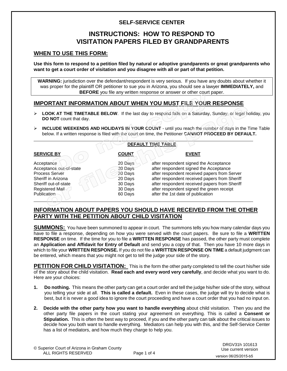#### **SELF-SERVICE CENTER**

### **INSTRUCTIONS: HOW TO RESPOND TO VISITATION PAPERS FILED BY GRANDPARENTS**

#### **WHEN TO USE THIS FORM:**

**Use this form to respond to a petition filed by natural or adoptive grandparents or great grandparents who want to get a court order of visitation and you disagree with all or part of that petition.**

**WARNING:** jurisdiction over the defendant/respondent is very serious. If you have any doubts about whether it was proper for the plaintiff OR petitioner to sue you in Arizona, you should see a lawyer **IMMEDIATELY,** and **BEFORE** you file any written response or answer or other court paper.

#### **IMPORTANT INFORMATION ABOUT WHEN YOU MUST FILE YOUR RESPONSE**

- ▶ LOOK AT THE TIMETABLE BELOW. If the last day to respond falls on a Saturday, Sunday, or legal holiday, you **DO NOT** count that day.
- **INCLUDE WEEKENDS AND HOLIDAYS IN YOUR COUNT** until you reach the number of days in the Time Table below. If a written response is filed with the court on time, the Petitioner **CANNOT PROCEED BY DEFAULT.**

| <b>DEFAULT TIME TABLE</b> |              |                                               |  |  |
|---------------------------|--------------|-----------------------------------------------|--|--|
| <b>SERVICE BY</b>         | <b>COUNT</b> | <b>EVENT</b>                                  |  |  |
| Acceptance                | 20 Days      | after respondent signed the Acceptance        |  |  |
| Acceptance out-of-state   | 30 Days      | after respondent signed the Acceptance        |  |  |
| <b>Process Server</b>     | 20 Days      | after respondent received papers from Server  |  |  |
| Sheriff in Arizona        | 20 Days      | after respondent received papers from Sheriff |  |  |
| Sheriff out-of-state      | 30 Days      | after respondent received papers from Sheriff |  |  |
| Registered Mail           | 30 Days      | after respondent signed the green receipt     |  |  |
| <b>Publication</b>        | 60 Days      | after the 1st date of publication             |  |  |

#### **INFORMATION ABOUT PAPERS YOU SHOULD HAVE RECEIVED FROM THE OTHER PARTY WITH THE PETITION ABOUT CHILD VISITATION**

**SUMMONS:** You have been summoned to appear in court. The summons tells you how many calendar days you have to file a response, depending on how you were served with the court papers. Be sure to file a **WRITTEN RESPONSE** on time. If the time for you to file a **WRITTEN RESPONSE** has passed, the other party must complete an **Application and Affidavit for Entry of Default** and send you a copy of that. Then you have 10 more days in which to file your **WRITTEN RESPONSE.** If you do not file a **WRITTEN RESPONSE ON TIME** a default judgment can be entered, which means that you might not get to tell the judge your side of the story.

**PETITION FOR CHILD VISITATION:** This is the form the other party completed to tell the court his/her side of the story about the child visitation. **Read each and every word very carefully**, and decide what you want to do. Here are your choices:

- **1. Do nothing.** This means the other party can get a court order and tell the judge his/her side of the story, without you telling your side at all. **This is called a default.** Even in these cases, the judge will try to decide what is best, but it is never a good idea to ignore the court proceeding and have a court order that you had no input on.
- **2. Decide with the other party how you want to handle everything** about child visitation. Then you and the other party file papers in the court stating your agreement on everything. This is called a **Consent or Stipulation.** This is often the best way to proceed, if you and the other party can talk about the critical issues to decide how you both want to handle everything. Mediators can help you with this, and the Self-Service Center has a list of mediators, and how much they charge to help you.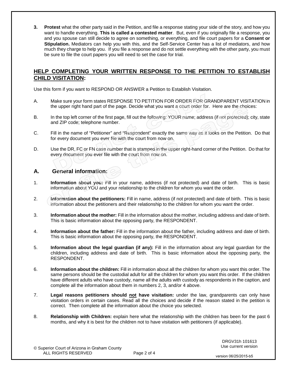**3. Protest** what the other party said in the Petition, and file a response stating your side of the story, and how you want to handle everything. **This is called a contested matter**. But, even if you originally file a response, you and you spouse can still decide to agree on something, or everything, and file court papers for a **Consent or Stipulation.** Mediators can help you with this, and the Self-Service Center has a list of mediators, and how much they charge to help you. If you file a response and do not settle everything with the other party, you must be sure to file the court papers you will need to set the case for trial.

#### **HELP COMPLETING YOUR WRITTEN RESPONSE TO THE PETITION TO ESTABLISH CHILD VISITATION:**

Use this form if you want to RESPOND OR ANSWER a Petition to Establish Visitation.

- A. Make sure your form states RESPONSE TO PETITION FOR ORDER FOR GRANDPARENT VISITATION in the upper right hand part of the page. Decide what you want a court order for. Here are the choices:
- B. In the top left corner of the first page, fill out the following: YOUR name; address (if not protected); city, state and ZIP code; telephone number.
- C. Fill in the name of "Petitioner" and "Respondent" exactly the same way as it looks on the Petition. Do that for every document you ever file with the court from now on.
- D. Use the DR, FC or FN case number that is stamped in the upper right-hand corner of the Petition. Do that for every document you ever file with the court from now on.

#### **A. General information:**

- 1. **Information about you:** Fill in your name, address (if not protected) and date of birth. This is basic information about YOU and your relationship to the children for whom you want the order.
- 2. **Information about the petitioners:** Fill in name, address (if not protected) and date of birth. This is basic information about the petitioners and their relationship to the children for whom you want the order.
- 3. **Information about the mother:** Fill in the information about the mother, including address and date of birth. This is basic information about the opposing party, the RESPONDENT.
- 4. **Information about the father:** Fill in the information about the father, including address and date of birth. This is basic information about the opposing party, the RESPONDENT.
- 5. **Information about the legal guardian (if any):** Fill in the information about any legal guardian for the children, including address and date of birth. This is basic information about the opposing party, the RESPONDENT.
- 6. **Information about the children:** Fill in information about all the children for whom you want this order. The same persons should be the custodial adult for all the children for whom you want this order. If the children have different adults who have custody, name all the adults with custody as respondents in the caption, and complete all the information about them in numbers 2, 3, and/or 4 above.
- 7. **Legal reasons petitioners should not have visitation:** under the law, grandparents can only have visitation orders in certain cases. Read all the choices and decide if the reason stated in the petition is correct. Then complete all the information about the choice you selected.
- 8. **Relationship with Children:** explain here what the relationship with the children has been for the past 6 months, and why it is best for the children not to have visitation with petitioners (if applicable).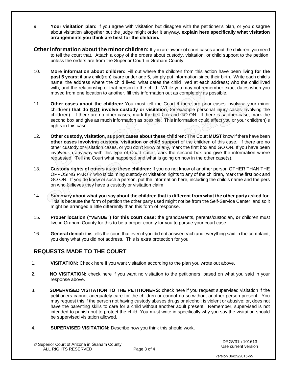- 9. **Your visitation plan:** If you agree with visitation but disagree with the petitioner's plan, or you disagree about visitation altogether but the judge might order it anyway, **explain here specifically what visitation arrangements you think are best for the children.**
- **Other information about the minor children:** If you are aware of court cases about the children, you need to tell the court that. Attach a copy of the orders about custody, visitation, or child support to the petition, unless the orders are from the Superior Court in Graham County.
- 10. **More information about children:** Fill out where the children from this action have been living **for the past 5 years;** if any child(ren) is/are under age 5, simply put information since their birth. Write each child's name; the address where the child lived; what dates the child lived at each address; who the child lived with; and the relationship of that person to the child. While you may not remember exact dates when you moved from one location to another, fill this information out as completely as possible.
- 11. **Other cases about the children:** You must tell the Court if there are prior cases involving your minor child(ren) **that do NOT involve custody or visitation**, for example personal injury cases involving the child(ren). If there are no other cases, mark the first box and GO ON. If there is another case, mark the second box and give as much information as possible. This information could affect you or your child(ren)'s rights in this case.
- 12. **Other custody, visitation, support cases about these children:** The Court **MUST** know if there have been **other cases involving custody, visitation or child support** of the children of this case. If there are no other custody or visitation cases, or you don't know of any, mark the first box and GO ON. If you have been involved in any way with this type of Court case, mark the second box and give the information where requested. Tell the Court what happened and what is going on now in the other case(s).
- 13. **Custody rights of others as to these children:** If you do not know of another person OTHER THAN THE OPPOSING PARTY who is claiming custody or visitation rights to any of the children, mark the first box and GO ON. If you do know of such a person, put the information here, including the child's name and the pers on who believes they have a custody or visitation claim.
- 14. **Summary about what you say about the children that is different from what the other party asked for.** This is because the form of petition the other party used might not be from the Self-Service Center, and so it might be arranged a little differently than this form of response.
- 15. **Proper location ("VENUE") for this court case:** the grandparents, parents/custodian, **or** children must live in Graham County for this to be a proper county for you to pursue your court case.
- 16. **General denial:** this tells the court that even if you did not answer each and everything said in the complaint, you deny what you did not address. This is extra protection for you.

#### **REQUESTS MADE TO THE COURT**

- 1. **VISITATION:** Check here if you want visitation according to the plan you wrote out above.
- 2. **NO VISITATION:** check here if you want no visitation to the petitioners, based on what you said in your response above.
- 3. **SUPERVISED VISITATION TO THE PETITIONERS:** check here if you request supervised visitation if the petitioners cannot adequately care for the children or cannot do so without another person present. You may request this if the person not having custody abuses drugs or alcohol; is violent or abusive; or, does not have the parenting skills to care for a child without another adult present. Remember, supervised is not intended to punish but to protect the child. You must write in specifically why you say the visitation should be supervised visitation allowed.
- 4. **SUPERVISED VISITATION:** Describe how you think this should work.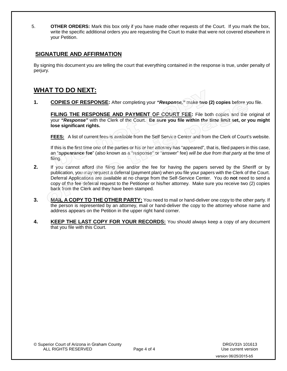5. **OTHER ORDERS:** Mark this box only if you have made other requests of the Court. If you mark the box, write the specific additional orders you are requesting the Court to make that were not covered elsewhere in your Petition.

#### **SIGNATURE AND AFFIRMATION**

By signing this document you are telling the court that everything contained in the response is true, under penalty of perjury.

## **WHAT TO DO NEXT:**

**1. COPIES OF RESPONSE:** After completing your *"Response,"* make **two (2) copies** before you file.

**FILING THE RESPONSE AND PAYMENT OF COURT FEE:** File both copies and the original of your *"Response"* with the Clerk of the Court. **Be sure you file within the time limit set, or you might lose significant rights.**

**FEES:** A list of current fees is available from the Self Service Center and from the Clerk of Court's website.

If this is the first time one of the parties or his or her attorney has "appeared", that is, filed papers in this case, an "**appearance fee**" (also known as a "response" or "answer" fee) *will be due from that party* at the time of filing.

- **2.** If you cannot afford the filing fee and/or the fee for having the papers served by the Sheriff or by publication, you may request a deferral (payment plan) when you file your papers with the Clerk of the Court. Deferral Applications are available at no charge from the Self-Service Center. You do **not** need to send a copy of the fee deferral request to the Petitioner or his/her attorney. Make sure you receive two (2) copies back from the Clerk and they have been stamped.
- **3. MAIL A COPY TO THE OTHER PARTY:** You need to mail or hand-deliver one copy to the other party. If the person is represented by an attorney, mail or hand-deliver the copy to the attorney whose name and address appears on the Petition in the upper right hand corner.
- **4. KEEP THE LAST COPY FOR YOUR RECORDS:** You should always keep a copy of any document that you file with this Court.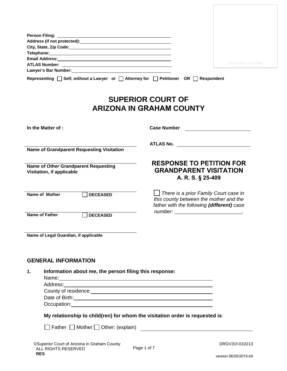|                                                                                                                                                                                                                                | For Clerk's Use Only |
|--------------------------------------------------------------------------------------------------------------------------------------------------------------------------------------------------------------------------------|----------------------|
| Lawyer's Bar Number: Name of the Care of the Care of the Care of the Care of the Care of the Care of the Care of the Care of the Care of the Care of the Care of the Care of the Care of the Care of the Care of the Care of t |                      |
| Representing $\Box$ Self, without a Lawyer or $\Box$ Attorney for $\Box$ Petitioner OR $\Box$ Respondent                                                                                                                       |                      |
|                                                                                                                                                                                                                                |                      |

# **SUPERIOR COURT OF ARIZONA IN GRAHAM COUNTY**

| In the Matter of :                                                                                                                                                                                                                   | <b>Case Number</b>                                                                                                            |
|--------------------------------------------------------------------------------------------------------------------------------------------------------------------------------------------------------------------------------------|-------------------------------------------------------------------------------------------------------------------------------|
| <b>Name of Grandparent Requesting Visitation</b>                                                                                                                                                                                     |                                                                                                                               |
| Name of Other Grandparent Requesting<br>Visitation, if applicable                                                                                                                                                                    | <b>RESPONSE TO PETITION FOR</b><br><b>GRANDPARENT VISITATION</b><br>A. R. S. § 25-409                                         |
| Name of Mother<br><b>DECEASED</b>                                                                                                                                                                                                    | There is a prior Family Court case in<br>this county between the mother and the<br>father with the following (different) case |
| Name of Father<br><b>DECEASED</b>                                                                                                                                                                                                    |                                                                                                                               |
| Name of Legal Guardian, if applicable                                                                                                                                                                                                |                                                                                                                               |
| <b>GENERAL INFORMATION</b>                                                                                                                                                                                                           |                                                                                                                               |
| Information about me, the person filing this response:<br>1.                                                                                                                                                                         |                                                                                                                               |
|                                                                                                                                                                                                                                      |                                                                                                                               |
|                                                                                                                                                                                                                                      |                                                                                                                               |
|                                                                                                                                                                                                                                      |                                                                                                                               |
| Occupation: <u>contract and contract and contract and contract and contract and contract and contract and contract of the contract of the contract of the contract of the contract of the contract of the contract of the contra</u> |                                                                                                                               |

**My relationship to child(ren) for whom the visitation order is requested is**:

 $\Box$  Father  $\Box$  Mother  $\Box$  Other: (explain)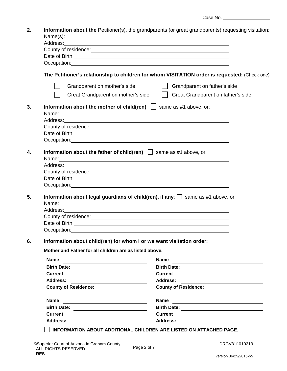| Case No. |  |
|----------|--|
|----------|--|

|                                                                                                                                                                                                                                                                                                                                                                                                                                                                       | <b>Information about the Petitioner(s), the grandparents (or great grandparents) requesting visitation:</b> |
|-----------------------------------------------------------------------------------------------------------------------------------------------------------------------------------------------------------------------------------------------------------------------------------------------------------------------------------------------------------------------------------------------------------------------------------------------------------------------|-------------------------------------------------------------------------------------------------------------|
| Name(s): Name and the second contract of the second contract of the second contract of the second contract of the second contract of the second contract of the second contract of the second contract of the second contract<br>Address: <u>with the contract of the contract of the contract of the contract of the contract of the contract of the contract of the contract of the contract of the contract of the contract of the contract of the contract of</u> |                                                                                                             |
|                                                                                                                                                                                                                                                                                                                                                                                                                                                                       |                                                                                                             |
| Date of Birth: <u>contract and a series of Birth and a series of Birth and a series of Birth and a series of the series of the series of the series of the series of the series of the series of the series of the series of the</u>                                                                                                                                                                                                                                  |                                                                                                             |
|                                                                                                                                                                                                                                                                                                                                                                                                                                                                       |                                                                                                             |
|                                                                                                                                                                                                                                                                                                                                                                                                                                                                       | The Petitioner's relationship to children for whom VISITATION order is requested: (Check one)               |
| Grandparent on mother's side                                                                                                                                                                                                                                                                                                                                                                                                                                          | Grandparent on father's side                                                                                |
| Great Grandparent on mother's side                                                                                                                                                                                                                                                                                                                                                                                                                                    | $\perp$<br>Great Grandparent on father's side                                                               |
| Information about the mother of child(ren) $\Box$ same as #1 above, or:<br>Name: Name: Name: Name: Name: Name: Name: Name: Name: Name: Name: Name: Name: Name: Name: Name: Name: Name: Name: Name: Name: Name: Name: Name: Name: Name: Name: Name: Name: Name: Name: Name: Name: Name: Name: Name: Name:                                                                                                                                                              |                                                                                                             |
|                                                                                                                                                                                                                                                                                                                                                                                                                                                                       |                                                                                                             |
|                                                                                                                                                                                                                                                                                                                                                                                                                                                                       |                                                                                                             |
| Date of Birth: <u>contract the contract of Birth Contract of Birth:</u>                                                                                                                                                                                                                                                                                                                                                                                               |                                                                                                             |
|                                                                                                                                                                                                                                                                                                                                                                                                                                                                       |                                                                                                             |
| Information about the father of child(ren) $\Box$ same as #1 above, or:<br>Name: Name: Name: Name: Name: Name: Name: Name: Name: Name: Name: Name: Name: Name: Name: Name: Name: Name: Name: Name: Name: Name: Name: Name: Name: Name: Name: Name: Name: Name: Name: Name: Name: Name: Name: Name: Name:                                                                                                                                                              |                                                                                                             |
|                                                                                                                                                                                                                                                                                                                                                                                                                                                                       |                                                                                                             |
| County of residence: <u>contained and contained</u> and county of residence:                                                                                                                                                                                                                                                                                                                                                                                          |                                                                                                             |
|                                                                                                                                                                                                                                                                                                                                                                                                                                                                       |                                                                                                             |
|                                                                                                                                                                                                                                                                                                                                                                                                                                                                       |                                                                                                             |
| Date of Birth: <u>contract the contract of the contract of the contract of the contract of the contract of the contract of the contract of the contract of the contract of the contract of the contract of the contract of the c</u><br>Occupation: New York Contract to the Contract of the Contract of the Contract of the Contract of the Contract of the Contract of the Contract of the Contract of the Contract of the Contract of the Contract of the Contract |                                                                                                             |
| Information about legal guardians of child(ren), if any: $\Box$ same as #1 above, or:                                                                                                                                                                                                                                                                                                                                                                                 |                                                                                                             |
| Name: Name: Name: Name: Name: Name: Name: Name: Name: Name: Name: Name: Name: Name: Name: Name: Name: Name: Name: Name: Name: Name: Name: Name: Name: Name: Name: Name: Name: Name: Name: Name: Name: Name: Name: Name: Name:                                                                                                                                                                                                                                         |                                                                                                             |
|                                                                                                                                                                                                                                                                                                                                                                                                                                                                       |                                                                                                             |
|                                                                                                                                                                                                                                                                                                                                                                                                                                                                       |                                                                                                             |
| Date of Birth: <u>Cambridge Communication</u> Contract on the Communication of the Communication of the Communication                                                                                                                                                                                                                                                                                                                                                 |                                                                                                             |
| Information about child(ren) for whom I or we want visitation order:                                                                                                                                                                                                                                                                                                                                                                                                  |                                                                                                             |
| Mother and Father for all children are as listed above.                                                                                                                                                                                                                                                                                                                                                                                                               |                                                                                                             |
| <b>Name</b>                                                                                                                                                                                                                                                                                                                                                                                                                                                           | <b>Name</b>                                                                                                 |
| <u> 1989 - Johann Stoff, deutscher Stoffen und der Stoffen und der Stoffen und der Stoffen und der Stoffen und der</u>                                                                                                                                                                                                                                                                                                                                                |                                                                                                             |
| <b>Current</b>                                                                                                                                                                                                                                                                                                                                                                                                                                                        | <b>Current</b>                                                                                              |
| <b>Address:</b>                                                                                                                                                                                                                                                                                                                                                                                                                                                       |                                                                                                             |
| <u> 1980 - Johann Barn, mars eta bainar eta bainar eta baina eta baina eta baina eta baina eta baina eta baina e</u><br>County of Residence: <u>County of Residence</u>                                                                                                                                                                                                                                                                                               | County of Residence:<br><u> County of Residence:</u>                                                        |
| <b>Name</b>                                                                                                                                                                                                                                                                                                                                                                                                                                                           | Name                                                                                                        |
|                                                                                                                                                                                                                                                                                                                                                                                                                                                                       |                                                                                                             |
| <b>Current</b>                                                                                                                                                                                                                                                                                                                                                                                                                                                        | Birth Date: <u>Alexander State Birth Date:</u><br><b>Current</b>                                            |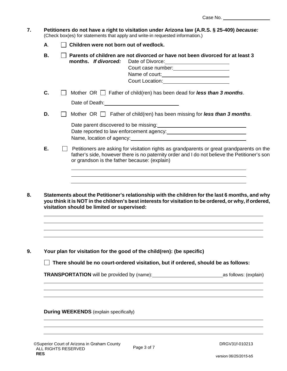- **7. Petitioners do not have a right to visitation under Arizona law (A.R.S. § 25-409)** *because:* (Check box(es) for statements that apply and write-in requested information.)
	- **A**. **Children were not born out of wedlock.**
	- **B. Parents of children are not divorced or have not been divorced for at least 3 months.** *If divorced:*Date of Divorce: Court case number: Name of court: Court Location:
	- **C.**  $\Box$  Mother OR  $\Box$  Father of child(ren) has been dead for **less than 3 months**.
	- Date of Death:  $\blacksquare$ **D.**  $\Box$  Mother OR  $\Box$  Father of child(ren) has been missing for **less than 3 months**.

Date parent discovered to be missing: Date reported to law enforcement agency: Name, location of agency:

- **E. Petitioners are asking for visitation rights as grandparents or great grandparents on the** father's side, however there is no paternity order and I do not believe the Petitioner's son or grandson is the father because: (explain)
- **8. Statements about the Petitioner's relationship with the children for the last 6 months, and why you think it is NOT in the children's best interests for visitation to be ordered, or why, if ordered, visitation should be limited or supervised:**

**9. Your plan for visitation for the good of the child(ren): (be specific)**

 **There should be no court-ordered visitation, but if ordered, should be as follows:**

**TRANSPORTATION** will be provided by (name): as follows: (explain)

#### **During WEEKENDS** (explain specifically)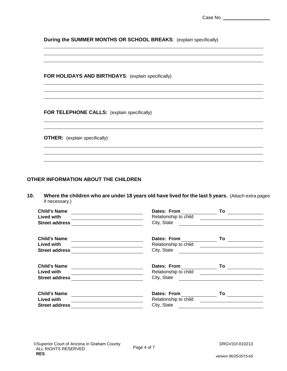**During the SUMMER MONTHS OR SCHOOL BREAKS**: (explain specifically)

**FOR HOLIDAYS AND BIRTHDAYS**: (explain specifically)

**FOR TELEPHONE CALLS:** (explain specifically)

**OTHER:** (explain specifically)

#### **OTHER INFORMATION ABOUT THE CHILDREN**

**10. Where the children who are under 18 years old have lived for the last 5 years.** (Attach extra pages if necessary.)

| <b>Child's Name</b><br>Lived with<br><b>Street address</b>        | Dates: From<br>Relationship to child<br>City, State | To    |  |
|-------------------------------------------------------------------|-----------------------------------------------------|-------|--|
| <b>Child's Name</b><br><b>Lived with</b><br><b>Street address</b> | Dates: From<br>Relationship to child<br>City, State | To To |  |
| <b>Child's Name</b><br>Lived with<br><b>Street address</b>        | Dates: From<br>Relationship to child<br>City, State | To    |  |
| <b>Child's Name</b><br>Lived with<br><b>Street address</b>        | Dates: From<br>Relationship to child<br>City, State | To    |  |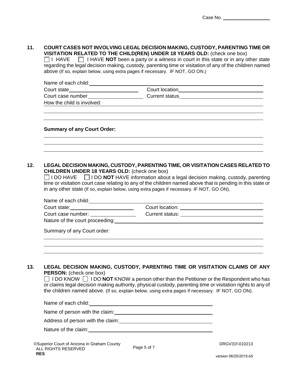# **11. COURT CASES NOT INVOLVING LEGAL DECISION MAKING, CUSTODY, PARENTING TIME OR VISITATION RELATED TO THE CHILD(REN) UNDER 18 YEARS OLD:** (check one box)<br>□ I HAVE □ I HAVE **NOT** been a party or a witness in court in this state or in any o

 $\Box$  I HAVE **NOT** been a party or a witness in court in this state or in any other state regarding the legal decision making, custody, parenting time or visitation of any of the children named above (If so, explain below, using extra pages if necessary. IF NOT, GO ON.)

| Name of each child:        |                |  |
|----------------------------|----------------|--|
| Court state                | Court location |  |
| Court case number          | Current status |  |
| How the child is involved: |                |  |
|                            |                |  |

#### **Summary of any Court Order:**

#### **12. LEGAL DECISION MAKING, CUSTODY, PARENTING TIME, OR VISITATION CASES RELATED TO CHILDREN UNDER 18 YEARS OLD:** (check one box)

 $\Box$  I DO HAVE  $\Box$  I DO **NOT** HAVE information about a legal decision making, custody, parenting time or visitation court case relating to any of the children named above that is pending in this state or in any other state (If so, explain below, using extra pages if necessary. IF NOT, GO ON).

| Name of each child:             |                 |  |
|---------------------------------|-----------------|--|
| Court state:                    | Court location: |  |
| Court case number:              | Current status: |  |
| Nature of the court proceeding: |                 |  |

Summary of any Court order:

#### **13. LEGAL DECISION MAKING, CUSTODY, PARENTING TIME OR VISITATION CLAIMS OF ANY PERSON:** (check one box)

 $\Box$  I DO KNOW  $\Box$  I DO **NOT** KNOW a person other than the Petitioner or the Respondent who has or claims legal decision making authority, physical custody, parenting time or visitation rights to any of the children named above. (If so, explain below, using extra pages if necessary. IF NOT, GO ON).

| Name of each child:               |
|-----------------------------------|
| Name of person with the claim:    |
| Address of person with the claim: |
| Nature of the claim:              |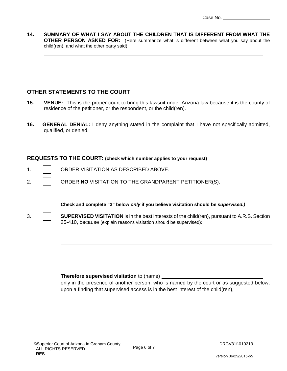**14. SUMMARY OF WHAT I SAY ABOUT THE CHILDREN THAT IS DIFFERENT FROM WHAT THE OTHER PERSON ASKED FOR:** (Here summarize what is different between what you say about the child(ren), and what the other party said)

#### **OTHER STATEMENTS TO THE COURT**

- **15. VENUE:** This is the proper court to bring this lawsuit under Arizona law because it is the county of residence of the petitioner, or the respondent, or the child(ren).
- **16. GENERAL DENIAL:** I deny anything stated in the complaint that I have not specifically admitted, qualified, or denied.

#### **REQUESTS TO THE COURT: (check which number applies to your request)**

- 1. ORDER VISITATION AS DESCRIBED ABOVE.
- 2. **CONDER NO** VISITATION TO THE GRANDPARENT PETITIONER(S).

**Check and complete "3" below** *only* **if you believe visitation should be** *supervised.)*

3. **SUPERVISED VISITATION** is in the best interests of the child(ren), pursuant to A.R.S. Section 25-410, because (explain reasons visitation should be supervised)**:** 

#### **Therefore supervised visitation** to (name)

only in the presence of another person, who is named by the court or as suggested below, upon a finding that supervised access is in the best interest of the child(ren),